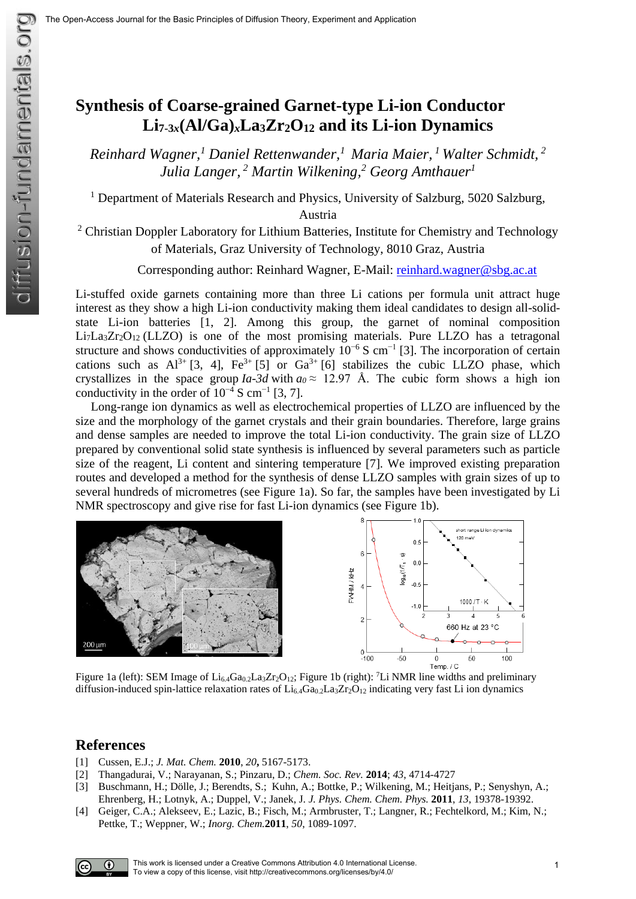## **Synthesis of Coarse-grained Garnet-type Li-ion Conductor Li7-3***x***(Al/Ga)***x***La3Zr2O<sup>12</sup> and its Li-ion Dynamics**

*Reinhard Wagner,<sup>1</sup> Daniel Rettenwander,<sup>1</sup>Maria Maier, <sup>1</sup>Walter Schmidt, <sup>2</sup> Julia Langer, <sup>2</sup> Martin Wilkening,<sup>2</sup> Georg Amthauer<sup>1</sup>*

<sup>1</sup> Department of Materials Research and Physics, University of Salzburg, 5020 Salzburg,

Austria

 $2$  Christian Doppler Laboratory for Lithium Batteries, Institute for Chemistry and Technology of Materials, Graz University of Technology, 8010 Graz, Austria

Corresponding author: Reinhard Wagner, E-Mail: [reinhard.wagner@sbg.ac.at](mailto:reinhard.wagner@sbg.ac.at)

Li-stuffed oxide garnets containing more than three Li cations per formula unit attract huge interest as they show a high Li-ion conductivity making them ideal candidates to design all-solidstate Li-ion batteries [1, 2]. Among this group, the garnet of nominal composition  $Li<sub>7</sub>La<sub>3</sub>Zr<sub>2</sub>O<sub>12</sub> (LLZO)$  is one of the most promising materials. Pure LLZO has a tetragonal structure and shows conductivities of approximately  $10^{-6}$  S cm<sup>-1</sup> [3]. The incorporation of certain cations such as  $Al^{3+}$  [3, 4],  $Fe^{3+}$  [5] or  $Ga^{3+}$  [6] stabilizes the cubic LLZO phase, which crystallizes in the space group *Ia-3d* with  $a_0 \approx 12.97$  Å. The cubic form shows a high ion conductivity in the order of  $10^{-4}$  S cm<sup>-1</sup> [3, 7].

Long-range ion dynamics as well as electrochemical properties of LLZO are influenced by the size and the morphology of the garnet crystals and their grain boundaries. Therefore, large grains and dense samples are needed to improve the total Li-ion conductivity. The grain size of LLZO prepared by conventional solid state synthesis is influenced by several parameters such as particle size of the reagent, Li content and sintering temperature [7]. We improved existing preparation routes and developed a method for the synthesis of dense LLZO samples with grain sizes of up to several hundreds of micrometres (see Figure 1a). So far, the samples have been investigated by Li NMR spectroscopy and give rise for fast Li-ion dynamics (see Figure 1b).



Figure 1a (left): SEM Image of  $Li_{6.4}Ga_{0.2}La_3Zr_2O_{12}$ ; Figure 1b (right): <sup>7</sup>Li NMR line widths and preliminary diffusion-induced spin-lattice relaxation rates of  $Li_{6,4}Ga_{0,2}La_{3}Zr_{2}O_{12}$  indicating very fast Li ion dynamics

## **References**

- [1] Cussen, E.J.; *J. Mat. Chem.* **2010**, *20***,** 5167-5173.
- [2] Thangadurai, V.; Narayanan, S.; Pinzaru, D.; *Chem. Soc. Rev.* **2014**; *43*, 4714-4727
- [3] Buschmann, H.; Dölle, J.; Berendts, S.; Kuhn, A.; Bottke, P.; Wilkening, M.; Heitjans, P.; Senyshyn, A.; Ehrenberg, H.; Lotnyk, A.; Duppel, V.; Janek, J. *J. Phys. Chem. Chem. Phys.* **2011**, *13*, 19378-19392.
- [4] Geiger, C.A.; Alekseev, E.; Lazic, B.; Fisch, M.; Armbruster, T.; Langner, R.; Fechtelkord, M.; Kim, N.; Pettke, T.; Weppner, W.; *Inorg. Chem.***2011**, *50*, 1089-1097.